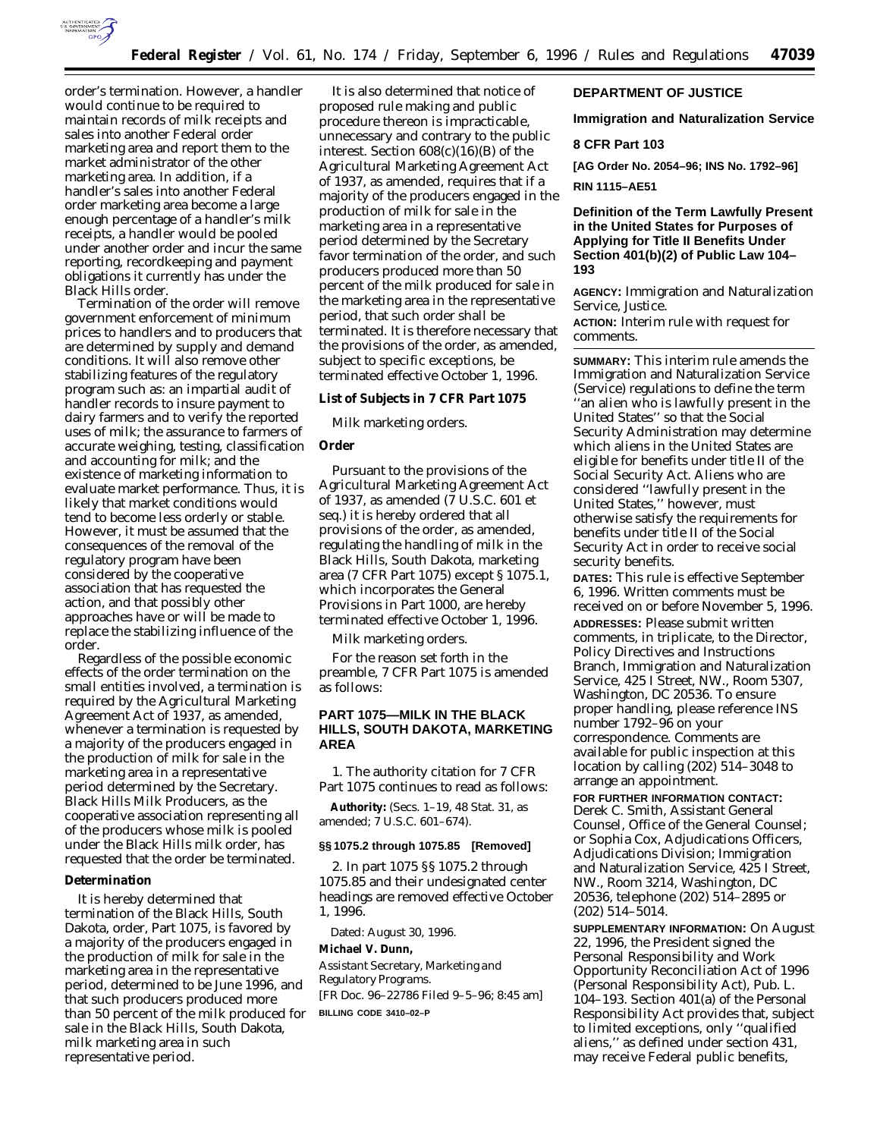

order's termination. However, a handler would continue to be required to maintain records of milk receipts and sales into another Federal order marketing area and report them to the market administrator of the other marketing area. In addition, if a handler's sales into another Federal order marketing area become a large enough percentage of a handler's milk receipts, a handler would be pooled under another order and incur the same reporting, recordkeeping and payment obligations it currently has under the Black Hills order.

Termination of the order will remove government enforcement of minimum prices to handlers and to producers that are determined by supply and demand conditions. It will also remove other stabilizing features of the regulatory program such as: an impartial audit of handler records to insure payment to dairy farmers and to verify the reported uses of milk; the assurance to farmers of accurate weighing, testing, classification and accounting for milk; and the existence of marketing information to evaluate market performance. Thus, it is likely that market conditions would tend to become less orderly or stable. However, it must be assumed that the consequences of the removal of the regulatory program have been considered by the cooperative association that has requested the action, and that possibly other approaches have or will be made to replace the stabilizing influence of the order.

Regardless of the possible economic effects of the order termination on the small entities involved, a termination is required by the Agricultural Marketing Agreement Act of 1937, as amended, whenever a termination is requested by a majority of the producers engaged in the production of milk for sale in the marketing area in a representative period determined by the Secretary. Black Hills Milk Producers, as the cooperative association representing all of the producers whose milk is pooled under the Black Hills milk order, has requested that the order be terminated.

## **Determination**

It is hereby determined that termination of the Black Hills, South Dakota, order, Part 1075, is favored by a majority of the producers engaged in the production of milk for sale in the marketing area in the representative period, determined to be June 1996, and that such producers produced more than 50 percent of the milk produced for sale in the Black Hills, South Dakota, milk marketing area in such representative period.

It is also determined that notice of proposed rule making and public procedure thereon is impracticable, unnecessary and contrary to the public interest. Section 608(c)(16)(B) of the Agricultural Marketing Agreement Act of 1937, as amended, requires that if a majority of the producers engaged in the production of milk for sale in the marketing area in a representative period determined by the Secretary favor termination of the order, and such producers produced more than 50 percent of the milk produced for sale in the marketing area in the representative period, that such order shall be terminated. It is therefore necessary that the provisions of the order, as amended, subject to specific exceptions, be terminated effective October 1, 1996.

**List of Subjects in 7 CFR Part 1075**

Milk marketing orders.

### **Order**

Pursuant to the provisions of the Agricultural Marketing Agreement Act of 1937, as amended (7 U.S.C. 601 *et seq.*) it is hereby ordered that all provisions of the order, as amended, regulating the handling of milk in the Black Hills, South Dakota, marketing area (7 CFR Part 1075) except § 1075.1, which incorporates the General Provisions in Part 1000, are hereby terminated effective October 1, 1996.

Milk marketing orders.

For the reason set forth in the preamble, 7 CFR Part 1075 is amended as follows:

# **PART 1075—MILK IN THE BLACK HILLS, SOUTH DAKOTA, MARKETING AREA**

1. The authority citation for 7 CFR Part 1075 continues to read as follows:

**Authority:** (Secs. 1–19, 48 Stat. 31, as amended; 7 U.S.C. 601–674).

# **§§ 1075.2 through 1075.85 [Removed]**

2. In part 1075 §§ 1075.2 through 1075.85 and their undesignated center headings are removed effective October 1, 1996.

Dated: August 30, 1996.

**Michael V. Dunn,**

*Assistant Secretary, Marketing and Regulatory Programs.* [FR Doc. 96–22786 Filed 9–5–96; 8:45 am] **BILLING CODE 3410–02–P**

## **DEPARTMENT OF JUSTICE**

**Immigration and Naturalization Service**

## **8 CFR Part 103**

**[AG Order No. 2054–96; INS No. 1792–96]**

**RIN 1115–AE51**

**Definition of the Term Lawfully Present in the United States for Purposes of Applying for Title II Benefits Under Section 401(b)(2) of Public Law 104– 193**

**AGENCY:** Immigration and Naturalization Service, Justice.

**ACTION:** Interim rule with request for comments.

**SUMMARY:** This interim rule amends the Immigration and Naturalization Service (Service) regulations to define the term ''an alien who is lawfully present in the United States'' so that the Social Security Administration may determine which aliens in the United States are eligible for benefits under title II of the Social Security Act. Aliens who are considered ''lawfully present in the United States,'' however, must otherwise satisfy the requirements for benefits under title II of the Social Security Act in order to receive social security benefits.

**DATES:** This rule is effective September 6, 1996. Written comments must be received on or before November 5, 1996. **ADDRESSES:** Please submit written comments, in triplicate, to the Director, Policy Directives and Instructions Branch, Immigration and Naturalization Service, 425 I Street, NW., Room 5307, Washington, DC 20536. To ensure proper handling, please reference INS number 1792–96 on your correspondence. Comments are available for public inspection at this location by calling (202) 514–3048 to arrange an appointment.

**FOR FURTHER INFORMATION CONTACT:** Derek C. Smith, Assistant General Counsel, Office of the General Counsel; or Sophia Cox, Adjudications Officers, Adjudications Division; Immigration and Naturalization Service, 425 I Street, NW., Room 3214, Washington, DC 20536, telephone (202) 514–2895 or (202) 514–5014.

**SUPPLEMENTARY INFORMATION:** On August 22, 1996, the President signed the Personal Responsibility and Work Opportunity Reconciliation Act of 1996 (Personal Responsibility Act), Pub. L. 104–193. Section 401(a) of the Personal Responsibility Act provides that, subject to limited exceptions, only ''qualified aliens,'' as defined under section 431, may receive Federal public benefits,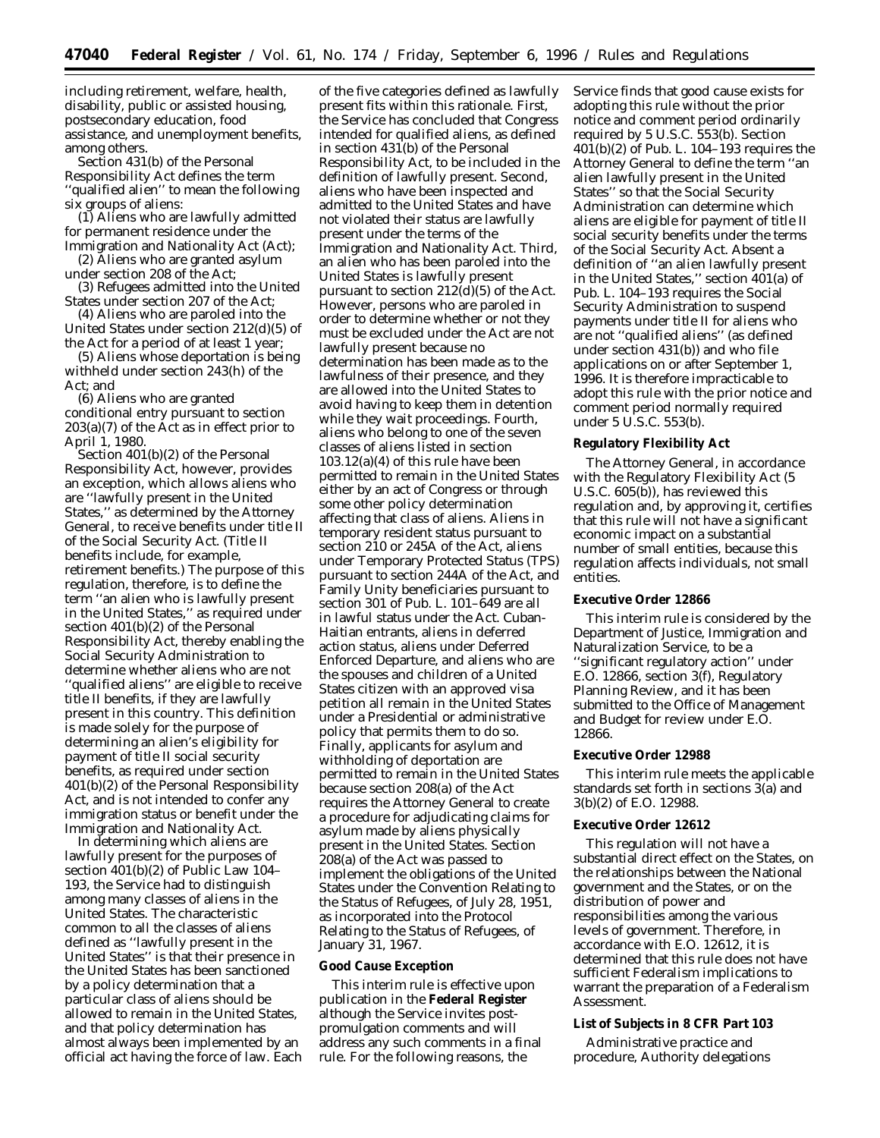including retirement, welfare, health, disability, public or assisted housing, postsecondary education, food assistance, and unemployment benefits, among others.

Section 431(b) of the Personal Responsibility Act defines the term ''qualified alien'' to mean the following six groups of aliens:

(1) Aliens who are lawfully admitted for permanent residence under the Immigration and Nationality Act (Act);

(2) Aliens who are granted asylum under section 208 of the Act;

(3) Refugees admitted into the United States under section 207 of the Act;

(4) Aliens who are paroled into the United States under section 212(d)(5) of the Act for a period of at least 1 year;

(5) Aliens whose deportation is being withheld under section 243(h) of the Act; and

(6) Aliens who are granted conditional entry pursuant to section 203(a)(7) of the Act as in effect prior to April 1, 1980.

Section 401(b)(2) of the Personal Responsibility Act, however, provides an exception, which allows aliens who are ''lawfully present in the United States,'' as determined by the Attorney General, to receive benefits under title II of the Social Security Act. (Title II benefits include, for example, retirement benefits.) The purpose of this regulation, therefore, is to define the term ''an alien who is lawfully present in the United States,'' as required under section 401(b)(2) of the Personal Responsibility Act, thereby enabling the Social Security Administration to determine whether aliens who are not ''qualified aliens'' are eligible to receive title II benefits, if they are lawfully present in this country. This definition is made solely for the purpose of determining an alien's eligibility for payment of title II social security benefits, as required under section 401(b)(2) of the Personal Responsibility Act, and is not intended to confer any immigration status or benefit under the Immigration and Nationality Act.

In determining which aliens are lawfully present for the purposes of section 401(b)(2) of Public Law 104– 193, the Service had to distinguish among many classes of aliens in the United States. The characteristic common to all the classes of aliens defined as ''lawfully present in the United States'' is that their presence in the United States has been sanctioned by a policy determination that a particular class of aliens should be allowed to remain in the United States, and that policy determination has almost always been implemented by an official act having the force of law. Each

of the five categories defined as lawfully present fits within this rationale. First, the Service has concluded that Congress intended for qualified aliens, as defined in section 431(b) of the Personal Responsibility Act, to be included in the definition of lawfully present. Second, aliens who have been inspected and admitted to the United States and have not violated their status are lawfully present under the terms of the Immigration and Nationality Act. Third, an alien who has been paroled into the United States is lawfully present pursuant to section  $212(d)(5)$  of the Act. However, persons who are paroled in order to determine whether or not they must be excluded under the Act are not lawfully present because no determination has been made as to the lawfulness of their presence, and they are allowed into the United States to avoid having to keep them in detention while they wait proceedings. Fourth, aliens who belong to one of the seven classes of aliens listed in section 103.12(a)(4) of this rule have been permitted to remain in the United States either by an act of Congress or through some other policy determination affecting that class of aliens. Aliens in temporary resident status pursuant to section 210 or 245A of the Act, aliens under Temporary Protected Status (TPS) pursuant to section 244A of the Act, and Family Unity beneficiaries pursuant to section 301 of Pub. L. 101–649 are all in lawful status under the Act. Cuban-Haitian entrants, aliens in deferred action status, aliens under Deferred Enforced Departure, and aliens who are the spouses and children of a United States citizen with an approved visa petition all remain in the United States under a Presidential or administrative policy that permits them to do so. Finally, applicants for asylum and withholding of deportation are permitted to remain in the United States because section 208(a) of the Act requires the Attorney General to create a procedure for adjudicating claims for asylum made by aliens physically present in the United States. Section 208(a) of the Act was passed to implement the obligations of the United States under the Convention Relating to the Status of Refugees, of July 28, 1951, as incorporated into the Protocol Relating to the Status of Refugees, of January 31, 1967.

#### **Good Cause Exception**

This interim rule is effective upon publication in the **Federal Register** although the Service invites postpromulgation comments and will address any such comments in a final rule. For the following reasons, the

Service finds that good cause exists for adopting this rule without the prior notice and comment period ordinarily required by 5 U.S.C. 553(b). Section 401(b)(2) of Pub. L. 104–193 requires the Attorney General to define the term ''an alien lawfully present in the United States'' so that the Social Security Administration can determine which aliens are eligible for payment of title II social security benefits under the terms of the Social Security Act. Absent a definition of ''an alien lawfully present in the United States,'' section 401(a) of Pub. L. 104–193 requires the Social Security Administration to suspend payments under title II for aliens who are not ''qualified aliens'' (as defined under section 431(b)) and who file applications on or after September 1, 1996. It is therefore impracticable to adopt this rule with the prior notice and comment period normally required under 5 U.S.C. 553(b).

### **Regulatory Flexibility Act**

The Attorney General, in accordance with the Regulatory Flexibility Act (5 U.S.C. 605(b)), has reviewed this regulation and, by approving it, certifies that this rule will not have a significant economic impact on a substantial number of small entities, because this regulation affects individuals, not small entities.

#### **Executive Order 12866**

This interim rule is considered by the Department of Justice, Immigration and Naturalization Service, to be a ''significant regulatory action'' under E.O. 12866, section 3(f), Regulatory Planning Review, and it has been submitted to the Office of Management and Budget for review under E.O. 12866.

#### **Executive Order 12988**

This interim rule meets the applicable standards set forth in sections 3(a) and 3(b)(2) of E.O. 12988.

#### **Executive Order 12612**

This regulation will not have a substantial direct effect on the States, on the relationships between the National government and the States, or on the distribution of power and responsibilities among the various levels of government. Therefore, in accordance with E.O. 12612, it is determined that this rule does not have sufficient Federalism implications to warrant the preparation of a Federalism Assessment.

#### **List of Subjects in 8 CFR Part 103**

Administrative practice and procedure, Authority delegations